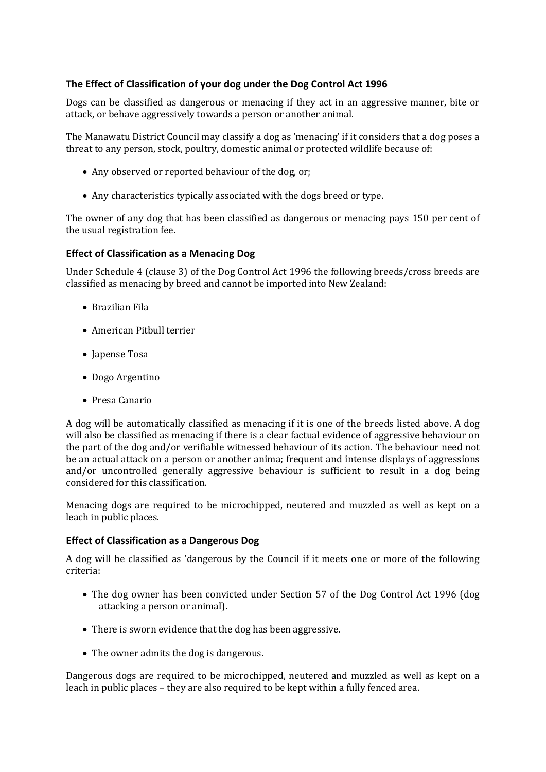# **The Effect of Classification of your dog under the Dog Control Act 1996**

Dogs can be classified as dangerous or menacing if they act in an aggressive manner, bite or attack, or behave aggressively towards a person or another animal.

The Manawatu District Council may classify a dog as 'menacing' if it considers that a dog poses a threat to any person, stock, poultry, domestic animal or protected wildlife because of:

- Any observed or reported behaviour of the dog, or;
- Any characteristics typically associated with the dogs breed or type.

The owner of any dog that has been classified as dangerous or menacing pays 150 per cent of the usual registration fee.

## **Effect of Classification as a Menacing Dog**

Under Schedule 4 (clause 3) of the Dog Control Act 1996 the following breeds/cross breeds are classified as menacing by breed and cannot be imported into New Zealand:

- Brazilian Fila
- American Pitbull terrier
- Japense Tosa
- Dogo Argentino
- Presa Canario

A dog will be automatically classified as menacing if it is one of the breeds listed above. A dog will also be classified as menacing if there is a clear factual evidence of aggressive behaviour on the part of the dog and/or verifiable witnessed behaviour of its action. The behaviour need not be an actual attack on a person or another anima; frequent and intense displays of aggressions and/or uncontrolled generally aggressive behaviour is sufficient to result in a dog being considered for this classification.

Menacing dogs are required to be microchipped, neutered and muzzled as well as kept on a leach in public places.

## **Effect of Classification as a Dangerous Dog**

A dog will be classified as 'dangerous by the Council if it meets one or more of the following criteria:

- The dog owner has been convicted under Section 57 of the Dog Control Act 1996 (dog attacking a person or animal).
- There is sworn evidence that the dog has been aggressive.
- The owner admits the dog is dangerous.

Dangerous dogs are required to be microchipped, neutered and muzzled as well as kept on a leach in public places – they are also required to be kept within a fully fenced area.